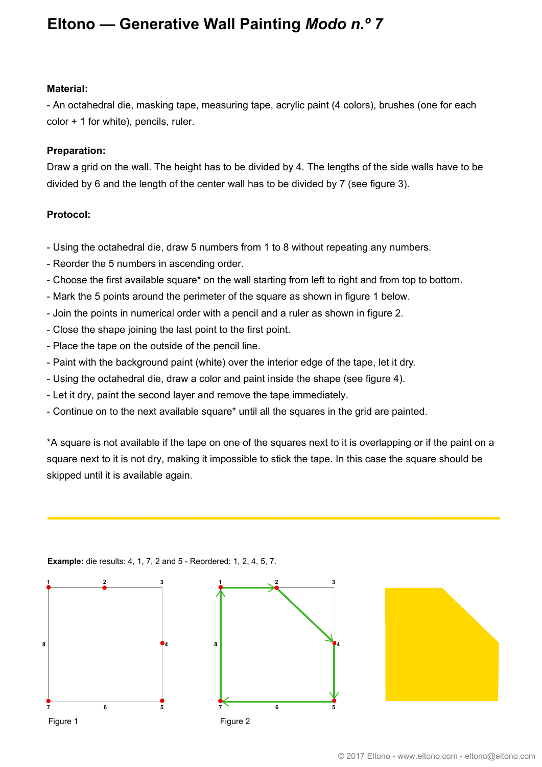## **Eltono — Generative Wall Painting** *Modo n.º 7*

#### **Material:**

- An octahedral die, masking tape, measuring tape, acrylic paint (4 colors), brushes (one for each color + 1 for white), pencils, ruler.

### **Preparation:**

Draw a grid on the wall. The height has to be divided by 4. The lengths of the side walls have to be divided by 6 and the length of the center wall has to be divided by 7 (see figure 3).

#### **Protocol:**

- Using the octahedral die, draw 5 numbers from 1 to 8 without repeating any numbers.
- Reorder the 5 numbers in ascending order.
- Choose the first available square\* on the wall starting from left to right and from top to bottom.
- Mark the 5 points around the perimeter of the square as shown in figure 1 below.
- Join the points in numerical order with a pencil and a ruler as shown in figure 2.
- Close the shape joining the last point to the first point.
- Place the tape on the outside of the pencil line.
- Paint with the background paint (white) over the interior edge of the tape, let it dry.
- Using the octahedral die, draw a color and paint inside the shape (see figure 4).
- Let it dry, paint the second layer and remove the tape immediately.
- Continue on to the next available square\* until all the squares in the grid are painted.

\*A square is not available if the tape on one of the squares next to it is overlapping or if the paint on a square next to it is not dry, making it impossible to stick the tape. In this case the square should be skipped until it is available again.





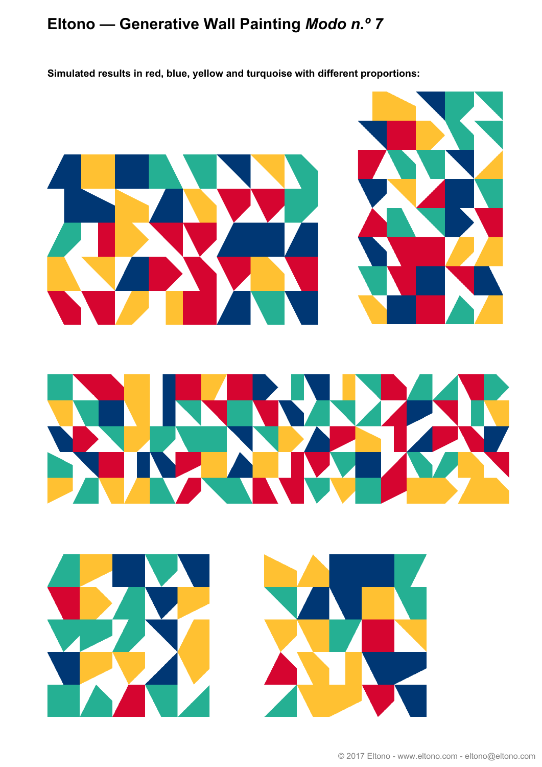# **Eltono — Generative Wall Painting** *Modo n.º 7*

**Simulated results in red, blue, yellow and turquoise with different proportions:**

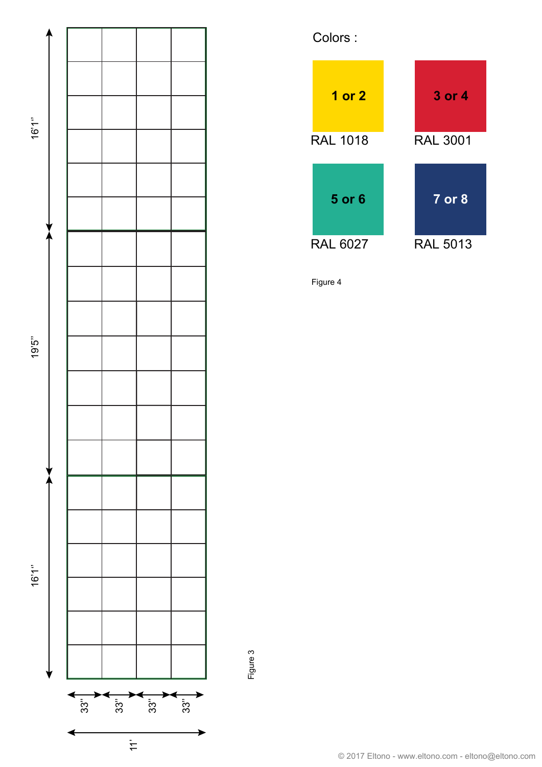



Figure 4

Figure 3